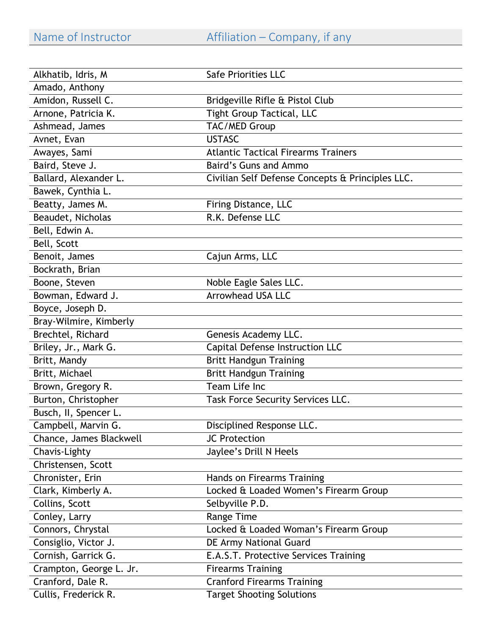Name of Instructor Affiliation – Company, if any

| Alkhatib, Idris, M      | <b>Safe Priorities LLC</b>                       |
|-------------------------|--------------------------------------------------|
| Amado, Anthony          |                                                  |
| Amidon, Russell C.      | Bridgeville Rifle & Pistol Club                  |
| Arnone, Patricia K.     | <b>Tight Group Tactical, LLC</b>                 |
| Ashmead, James          | TAC/MED Group                                    |
| Avnet, Evan             | <b>USTASC</b>                                    |
| Awayes, Sami            | <b>Atlantic Tactical Firearms Trainers</b>       |
| Baird, Steve J.         | <b>Baird's Guns and Ammo</b>                     |
| Ballard, Alexander L.   | Civilian Self Defense Concepts & Principles LLC. |
| Bawek, Cynthia L.       |                                                  |
| Beatty, James M.        | Firing Distance, LLC                             |
| Beaudet, Nicholas       | R.K. Defense LLC                                 |
| Bell, Edwin A.          |                                                  |
| Bell, Scott             |                                                  |
| Benoit, James           | Cajun Arms, LLC                                  |
| Bockrath, Brian         |                                                  |
| Boone, Steven           | Noble Eagle Sales LLC.                           |
| Bowman, Edward J.       | <b>Arrowhead USA LLC</b>                         |
| Boyce, Joseph D.        |                                                  |
| Bray-Wilmire, Kimberly  |                                                  |
| Brechtel, Richard       | Genesis Academy LLC.                             |
| Briley, Jr., Mark G.    | Capital Defense Instruction LLC                  |
| Britt, Mandy            | <b>Britt Handgun Training</b>                    |
| Britt, Michael          | <b>Britt Handgun Training</b>                    |
| Brown, Gregory R.       | Team Life Inc                                    |
| Burton, Christopher     | Task Force Security Services LLC.                |
| Busch, II, Spencer L.   |                                                  |
| Campbell, Marvin G.     | Disciplined Response LLC.                        |
| Chance, James Blackwell | JC Protection                                    |
| Chavis-Lighty           | Jaylee's Drill N Heels                           |
| Christensen, Scott      |                                                  |
| Chronister, Erin        | Hands on Firearms Training                       |
| Clark, Kimberly A.      | Locked & Loaded Women's Firearm Group            |
| Collins, Scott          | Selbyville P.D.                                  |
| Conley, Larry           | Range Time                                       |
| Connors, Chrystal       | Locked & Loaded Woman's Firearm Group            |
| Consiglio, Victor J.    | DE Army National Guard                           |
| Cornish, Garrick G.     | E.A.S.T. Protective Services Training            |
| Crampton, George L. Jr. | <b>Firearms Training</b>                         |
| Cranford, Dale R.       | <b>Cranford Firearms Training</b>                |
| Cullis, Frederick R.    | <b>Target Shooting Solutions</b>                 |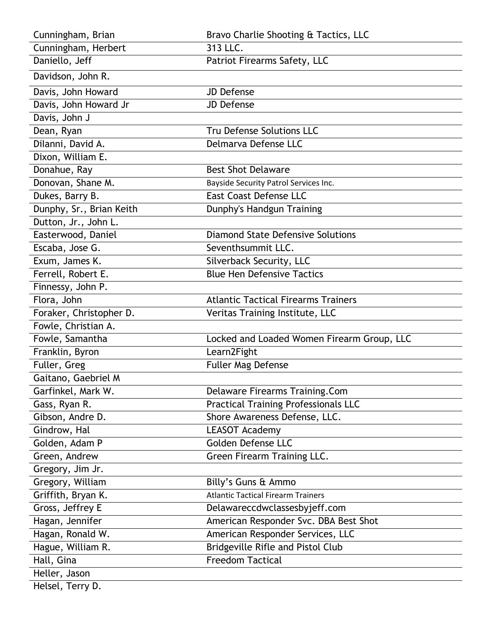| Cunningham, Brian        | Bravo Charlie Shooting & Tactics, LLC       |
|--------------------------|---------------------------------------------|
| Cunningham, Herbert      | 313 LLC.                                    |
| Daniello, Jeff           | Patriot Firearms Safety, LLC                |
| Davidson, John R.        |                                             |
| Davis, John Howard       | <b>JD Defense</b>                           |
| Davis, John Howard Jr    | <b>JD Defense</b>                           |
| Davis, John J            |                                             |
| Dean, Ryan               | Tru Defense Solutions LLC                   |
| Dilanni, David A.        | Delmarva Defense LLC                        |
| Dixon, William E.        |                                             |
| Donahue, Ray             | <b>Best Shot Delaware</b>                   |
| Donovan, Shane M.        | Bayside Security Patrol Services Inc.       |
| Dukes, Barry B.          | <b>East Coast Defense LLC</b>               |
| Dunphy, Sr., Brian Keith | Dunphy's Handgun Training                   |
| Dutton, Jr., John L.     |                                             |
| Easterwood, Daniel       | <b>Diamond State Defensive Solutions</b>    |
| Escaba, Jose G.          | Seventhsummit LLC.                          |
| Exum, James K.           | Silverback Security, LLC                    |
| Ferrell, Robert E.       | <b>Blue Hen Defensive Tactics</b>           |
| Finnessy, John P.        |                                             |
| Flora, John              | <b>Atlantic Tactical Firearms Trainers</b>  |
| Foraker, Christopher D.  | Veritas Training Institute, LLC             |
| Fowle, Christian A.      |                                             |
| Fowle, Samantha          | Locked and Loaded Women Firearm Group, LLC  |
| Franklin, Byron          | Learn2Fight                                 |
| Fuller, Greg             | Fuller Mag Defense                          |
| Gaitano, Gaebriel M      |                                             |
| Garfinkel, Mark W.       | Delaware Firearms Training.Com              |
| Gass, Ryan R.            | <b>Practical Training Professionals LLC</b> |
| Gibson, Andre D.         | Shore Awareness Defense, LLC.               |
| Gindrow, Hal             | <b>LEASOT Academy</b>                       |
| Golden, Adam P           | Golden Defense LLC                          |
| Green, Andrew            | Green Firearm Training LLC.                 |
| Gregory, Jim Jr.         |                                             |
| Gregory, William         | Billy's Guns & Ammo                         |
| Griffith, Bryan K.       | <b>Atlantic Tactical Firearm Trainers</b>   |
| Gross, Jeffrey E         | Delawareccdwclassesbyjeff.com               |
| Hagan, Jennifer          | American Responder Svc. DBA Best Shot       |
| Hagan, Ronald W.         | American Responder Services, LLC            |
| Hague, William R.        | Bridgeville Rifle and Pistol Club           |
| Hall, Gina               | <b>Freedom Tactical</b>                     |
| Heller, Jason            |                                             |
| Helsel, Terry D.         |                                             |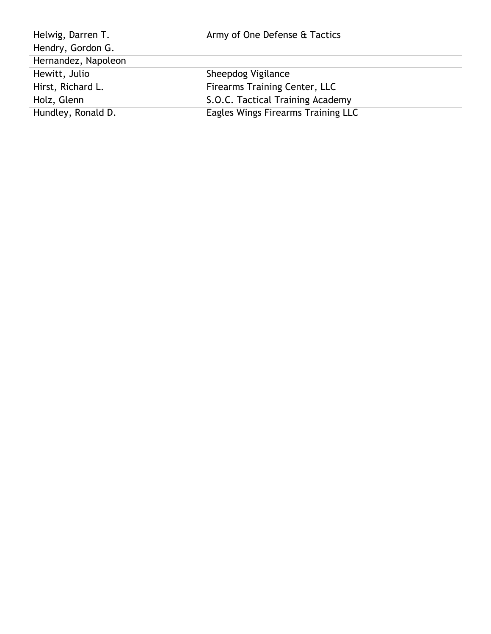| Helwig, Darren T.   | Army of One Defense & Tactics      |
|---------------------|------------------------------------|
| Hendry, Gordon G.   |                                    |
| Hernandez, Napoleon |                                    |
| Hewitt, Julio       | Sheepdog Vigilance                 |
| Hirst, Richard L.   | Firearms Training Center, LLC      |
| Holz, Glenn         | S.O.C. Tactical Training Academy   |
| Hundley, Ronald D.  | Eagles Wings Firearms Training LLC |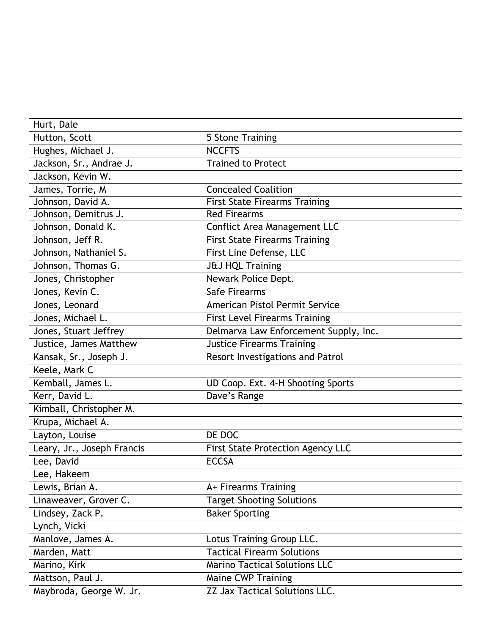| Hurt, Dale                 |                                          |
|----------------------------|------------------------------------------|
| Hutton, Scott              | 5 Stone Training                         |
| Hughes, Michael J.         | <b>NCCFTS</b>                            |
| Jackson, Sr., Andrae J.    | <b>Trained to Protect</b>                |
| Jackson, Kevin W.          |                                          |
| James, Torrie, M           | <b>Concealed Coalition</b>               |
| Johnson, David A.          | <b>First State Firearms Training</b>     |
| Johnson, Demitrus J.       | <b>Red Firearms</b>                      |
| Johnson, Donald K.         | Conflict Area Management LLC             |
| Johnson, Jeff R.           | <b>First State Firearms Training</b>     |
| Johnson, Nathaniel S.      | First Line Defense, LLC                  |
| Johnson, Thomas G.         | <b>J&amp;J HQL Training</b>              |
| Jones, Christopher         | Newark Police Dept.                      |
| Jones, Kevin C.            | Safe Firearms                            |
| Jones, Leonard             | <b>American Pistol Permit Service</b>    |
| Jones, Michael L.          | <b>First Level Firearms Training</b>     |
| Jones, Stuart Jeffrey      | Delmarva Law Enforcement Supply, Inc.    |
| Justice, James Matthew     | <b>Justice Firearms Training</b>         |
| Kansak, Sr., Joseph J.     | Resort Investigations and Patrol         |
| Keele, Mark C              |                                          |
| Kemball, James L.          | UD Coop. Ext. 4-H Shooting Sports        |
| Kerr, David L.             | Dave's Range                             |
| Kimball, Christopher M.    |                                          |
| Krupa, Michael A.          |                                          |
| Layton, Louise             | DE DOC                                   |
| Leary, Jr., Joseph Francis | <b>First State Protection Agency LLC</b> |
| Lee, David                 | <b>ECCSA</b>                             |
| Lee, Hakeem                |                                          |
| Lewis, Brian A.            | A+ Firearms Training                     |
| Linaweaver, Grover C.      | <b>Target Shooting Solutions</b>         |
| Lindsey, Zack P.           | <b>Baker Sporting</b>                    |
| Lynch, Vicki               |                                          |
| Manlove, James A.          | Lotus Training Group LLC.                |
| Marden, Matt               | <b>Tactical Firearm Solutions</b>        |
| Marino, Kirk               | <b>Marino Tactical Solutions LLC</b>     |
| Mattson, Paul J.           | Maine CWP Training                       |
| Maybroda, George W. Jr.    | ZZ Jax Tactical Solutions LLC.           |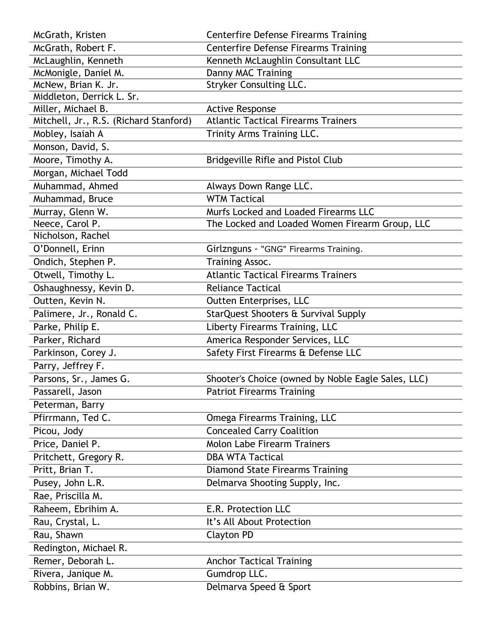| McGrath, Kristen                       | <b>Centerfire Defense Firearms Training</b>        |
|----------------------------------------|----------------------------------------------------|
| McGrath, Robert F.                     | <b>Centerfire Defense Firearms Training</b>        |
| McLaughlin, Kenneth                    | Kenneth McLaughlin Consultant LLC                  |
| McMonigle, Daniel M.                   | Danny MAC Training                                 |
| McNew, Brian K. Jr.                    | <b>Stryker Consulting LLC.</b>                     |
| Middleton, Derrick L. Sr.              |                                                    |
| Miller, Michael B.                     | <b>Active Response</b>                             |
| Mitchell, Jr., R.S. (Richard Stanford) | <b>Atlantic Tactical Firearms Trainers</b>         |
| Mobley, Isaiah A                       | Trinity Arms Training LLC.                         |
| Monson, David, S.                      |                                                    |
| Moore, Timothy A.                      | Bridgeville Rifle and Pistol Club                  |
| Morgan, Michael Todd                   |                                                    |
| Muhammad, Ahmed                        | Always Down Range LLC.                             |
| Muhammad, Bruce                        | <b>WTM Tactical</b>                                |
| Murray, Glenn W.                       | Murfs Locked and Loaded Firearms LLC               |
| Neece, Carol P.                        | The Locked and Loaded Women Firearm Group, LLC     |
| Nicholson, Rachel                      |                                                    |
| O'Donnell, Erinn                       | Girlznguns - "GNG" Firearms Training.              |
| Ondich, Stephen P.                     | Training Assoc.                                    |
| Otwell, Timothy L.                     | <b>Atlantic Tactical Firearms Trainers</b>         |
| Oshaughnessy, Kevin D.                 | <b>Reliance Tactical</b>                           |
| Outten, Kevin N.                       | Outten Enterprises, LLC                            |
| Palimere, Jr., Ronald C.               | StarQuest Shooters & Survival Supply               |
| Parke, Philip E.                       | Liberty Firearms Training, LLC                     |
| Parker, Richard                        | America Responder Services, LLC                    |
| Parkinson, Corey J.                    | Safety First Firearms & Defense LLC                |
| Parry, Jeffrey F.                      |                                                    |
| Parsons, Sr., James G.                 | Shooter's Choice (owned by Noble Eagle Sales, LLC) |
| Passarell, Jason                       | <b>Patriot Firearms Training</b>                   |
| Peterman, Barry                        |                                                    |
| Pfirrmann, Ted C.                      | Omega Firearms Training, LLC                       |
| Picou, Jody                            | <b>Concealed Carry Coalition</b>                   |
| Price, Daniel P.                       | <b>Molon Labe Firearm Trainers</b>                 |
| Pritchett, Gregory R.                  | <b>DBA WTA Tactical</b>                            |
| Pritt, Brian T.                        | <b>Diamond State Firearms Training</b>             |
| Pusey, John L.R.                       | Delmarva Shooting Supply, Inc.                     |
| Rae, Priscilla M.                      |                                                    |
| Raheem, Ebrihim A.                     | E.R. Protection LLC                                |
| Rau, Crystal, L.                       | It's All About Protection                          |
| Rau, Shawn                             | Clayton PD                                         |
| Redington, Michael R.                  |                                                    |
| Remer, Deborah L.                      | <b>Anchor Tactical Training</b>                    |
| Rivera, Janique M.                     | Gumdrop LLC.                                       |
| Robbins, Brian W.                      | Delmarva Speed & Sport                             |
|                                        |                                                    |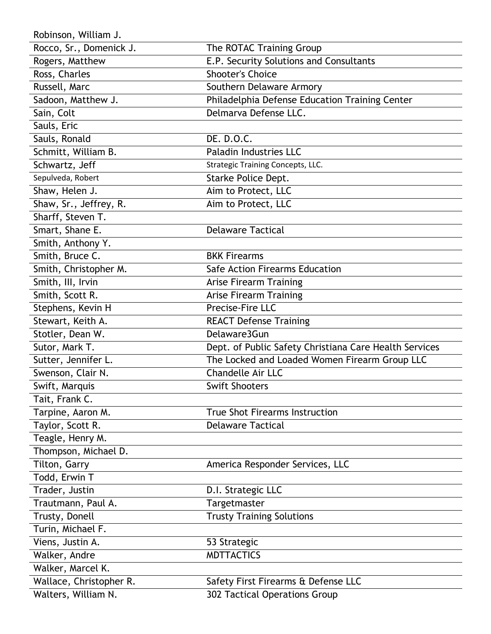Robinson, William J.

| Rocco, Sr., Domenick J. | The ROTAC Training Group                               |
|-------------------------|--------------------------------------------------------|
| Rogers, Matthew         | E.P. Security Solutions and Consultants                |
| Ross, Charles           | <b>Shooter's Choice</b>                                |
| Russell, Marc           | Southern Delaware Armory                               |
| Sadoon, Matthew J.      | Philadelphia Defense Education Training Center         |
| Sain, Colt              | Delmarva Defense LLC.                                  |
| Sauls, Eric             |                                                        |
| Sauls, Ronald           | DE. D.O.C.                                             |
| Schmitt, William B.     | Paladin Industries LLC                                 |
| Schwartz, Jeff          | <b>Strategic Training Concepts, LLC.</b>               |
| Sepulveda, Robert       | Starke Police Dept.                                    |
| Shaw, Helen J.          | Aim to Protect, LLC                                    |
| Shaw, Sr., Jeffrey, R.  | Aim to Protect, LLC                                    |
| Sharff, Steven T.       |                                                        |
| Smart, Shane E.         | <b>Delaware Tactical</b>                               |
| Smith, Anthony Y.       |                                                        |
| Smith, Bruce C.         | <b>BKK Firearms</b>                                    |
| Smith, Christopher M.   | Safe Action Firearms Education                         |
| Smith, III, Irvin       | <b>Arise Firearm Training</b>                          |
| Smith, Scott R.         | <b>Arise Firearm Training</b>                          |
| Stephens, Kevin H       | Precise-Fire LLC                                       |
| Stewart, Keith A.       | <b>REACT Defense Training</b>                          |
| Stotler, Dean W.        | Delaware3Gun                                           |
| Sutor, Mark T.          | Dept. of Public Safety Christiana Care Health Services |
| Sutter, Jennifer L.     | The Locked and Loaded Women Firearm Group LLC          |
| Swenson, Clair N.       | <b>Chandelle Air LLC</b>                               |
| Swift, Marquis          | <b>Swift Shooters</b>                                  |
| Tait, Frank C.          |                                                        |
| Tarpine, Aaron M.       | <b>True Shot Firearms Instruction</b>                  |
| Taylor, Scott R.        | <b>Delaware Tactical</b>                               |
| Teagle, Henry M.        |                                                        |
| Thompson, Michael D.    |                                                        |
| Tilton, Garry           | America Responder Services, LLC                        |
| Todd, Erwin T           |                                                        |
| Trader, Justin          | D.I. Strategic LLC                                     |
| Trautmann, Paul A.      | Targetmaster                                           |
| Trusty, Donell          | <b>Trusty Training Solutions</b>                       |
| Turin, Michael F.       |                                                        |
| Viens, Justin A.        | 53 Strategic                                           |
| Walker, Andre           | <b>MDTTACTICS</b>                                      |
| Walker, Marcel K.       |                                                        |
| Wallace, Christopher R. | Safety First Firearms & Defense LLC                    |
| Walters, William N.     | 302 Tactical Operations Group                          |